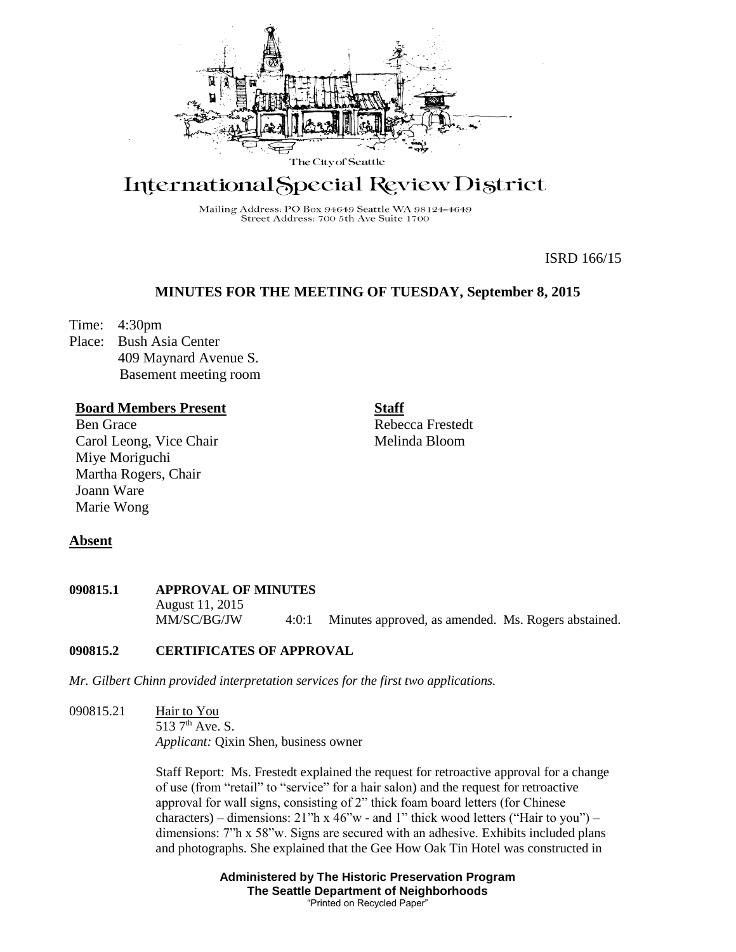

# International Special Review District

Mailing Address: PO Box 94649 Seattle WA 98124-4649 Street Address: 700 5th Ave Suite 1700

ISRD 166/15

## **MINUTES FOR THE MEETING OF TUESDAY, September 8, 2015**

Time: 4:30pm

Place: Bush Asia Center 409 Maynard Avenue S. Basement meeting room

## **Board Members Present**

Ben Grace Carol Leong, Vice Chair Miye Moriguchi Martha Rogers, Chair Joann Ware Marie Wong

**Staff** Rebecca Frestedt

Melinda Bloom

## **Absent**

**090815.1 APPROVAL OF MINUTES** August 11, 2015 MM/SC/BG/JW 4:0:1 Minutes approved, as amended. Ms. Rogers abstained.

# **090815.2 CERTIFICATES OF APPROVAL**

*Mr. Gilbert Chinn provided interpretation services for the first two applications.*

090815.21 Hair to You 513 7<sup>th</sup> Ave. S. *Applicant:* Qixin Shen, business owner

> Staff Report: Ms. Frestedt explained the request for retroactive approval for a change of use (from "retail" to "service" for a hair salon) and the request for retroactive approval for wall signs, consisting of 2" thick foam board letters (for Chinese characters) – dimensions:  $21$ "h x  $46$ "w - and 1" thick wood letters ("Hair to you") – dimensions: 7"h x 58"w. Signs are secured with an adhesive. Exhibits included plans and photographs. She explained that the Gee How Oak Tin Hotel was constructed in

> > **Administered by The Historic Preservation Program The Seattle Department of Neighborhoods** "Printed on Recycled Paper"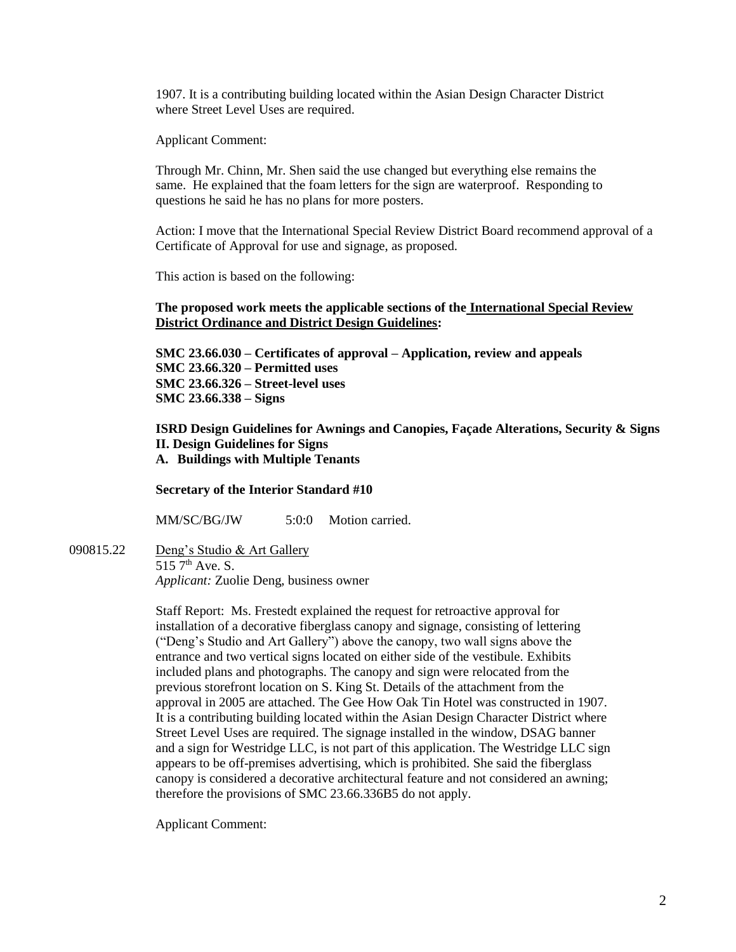1907. It is a contributing building located within the Asian Design Character District where Street Level Uses are required.

Applicant Comment:

Through Mr. Chinn, Mr. Shen said the use changed but everything else remains the same. He explained that the foam letters for the sign are waterproof. Responding to questions he said he has no plans for more posters.

Action: I move that the International Special Review District Board recommend approval of a Certificate of Approval for use and signage, as proposed.

This action is based on the following:

### **The proposed work meets the applicable sections of the International Special Review District Ordinance and District Design Guidelines:**

**SMC 23.66.030 – Certificates of approval – Application, review and appeals SMC 23.66.320 – Permitted uses SMC 23.66.326 – Street-level uses SMC 23.66.338 – Signs**

**ISRD Design Guidelines for Awnings and Canopies, Façade Alterations, Security & Signs II. Design Guidelines for Signs A. Buildings with Multiple Tenants**

#### **Secretary of the Interior Standard #10**

MM/SC/BG/JW 5:0:0 Motion carried.

090815.22 Deng's Studio & Art Gallery  $515\,7^{\text{th}}$  Ave. S. *Applicant:* Zuolie Deng, business owner

> Staff Report: Ms. Frestedt explained the request for retroactive approval for installation of a decorative fiberglass canopy and signage, consisting of lettering ("Deng's Studio and Art Gallery") above the canopy, two wall signs above the entrance and two vertical signs located on either side of the vestibule. Exhibits included plans and photographs. The canopy and sign were relocated from the previous storefront location on S. King St. Details of the attachment from the approval in 2005 are attached. The Gee How Oak Tin Hotel was constructed in 1907. It is a contributing building located within the Asian Design Character District where Street Level Uses are required. The signage installed in the window, DSAG banner and a sign for Westridge LLC, is not part of this application. The Westridge LLC sign appears to be off-premises advertising, which is prohibited. She said the fiberglass canopy is considered a decorative architectural feature and not considered an awning; therefore the provisions of SMC 23.66.336B5 do not apply.

Applicant Comment: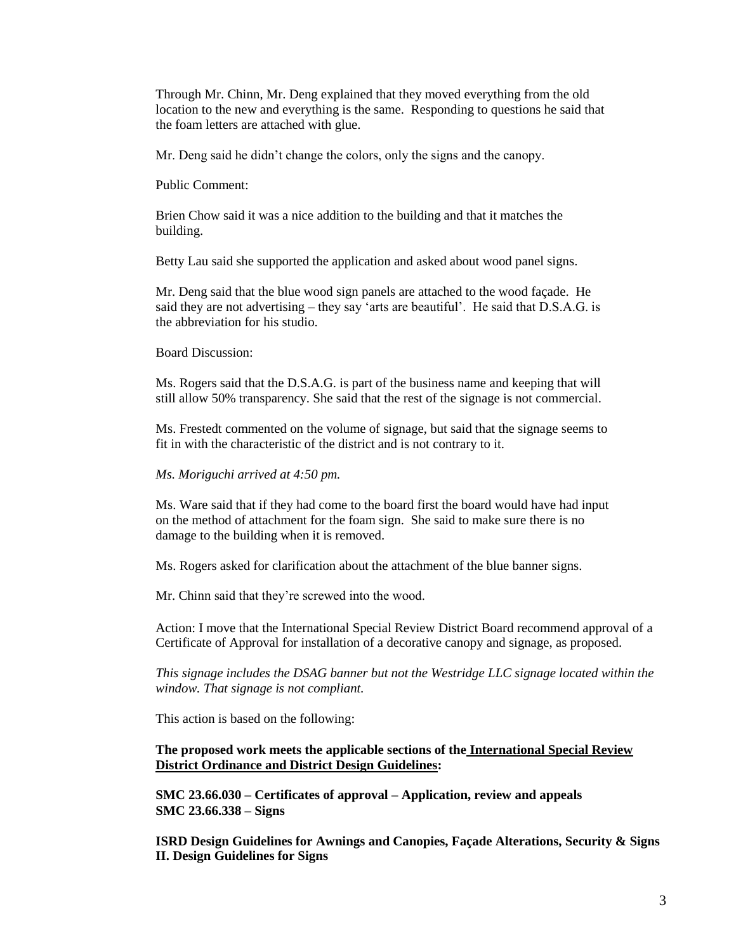Through Mr. Chinn, Mr. Deng explained that they moved everything from the old location to the new and everything is the same. Responding to questions he said that the foam letters are attached with glue.

Mr. Deng said he didn't change the colors, only the signs and the canopy.

Public Comment:

Brien Chow said it was a nice addition to the building and that it matches the building.

Betty Lau said she supported the application and asked about wood panel signs.

Mr. Deng said that the blue wood sign panels are attached to the wood façade. He said they are not advertising – they say 'arts are beautiful'. He said that D.S.A.G. is the abbreviation for his studio.

Board Discussion:

Ms. Rogers said that the D.S.A.G. is part of the business name and keeping that will still allow 50% transparency. She said that the rest of the signage is not commercial.

Ms. Frestedt commented on the volume of signage, but said that the signage seems to fit in with the characteristic of the district and is not contrary to it.

*Ms. Moriguchi arrived at 4:50 pm.*

Ms. Ware said that if they had come to the board first the board would have had input on the method of attachment for the foam sign. She said to make sure there is no damage to the building when it is removed.

Ms. Rogers asked for clarification about the attachment of the blue banner signs.

Mr. Chinn said that they're screwed into the wood.

Action: I move that the International Special Review District Board recommend approval of a Certificate of Approval for installation of a decorative canopy and signage, as proposed.

*This signage includes the DSAG banner but not the Westridge LLC signage located within the window. That signage is not compliant.* 

This action is based on the following:

#### **The proposed work meets the applicable sections of the International Special Review District Ordinance and District Design Guidelines:**

**SMC 23.66.030 – Certificates of approval – Application, review and appeals SMC 23.66.338 – Signs**

**ISRD Design Guidelines for Awnings and Canopies, Façade Alterations, Security & Signs II. Design Guidelines for Signs**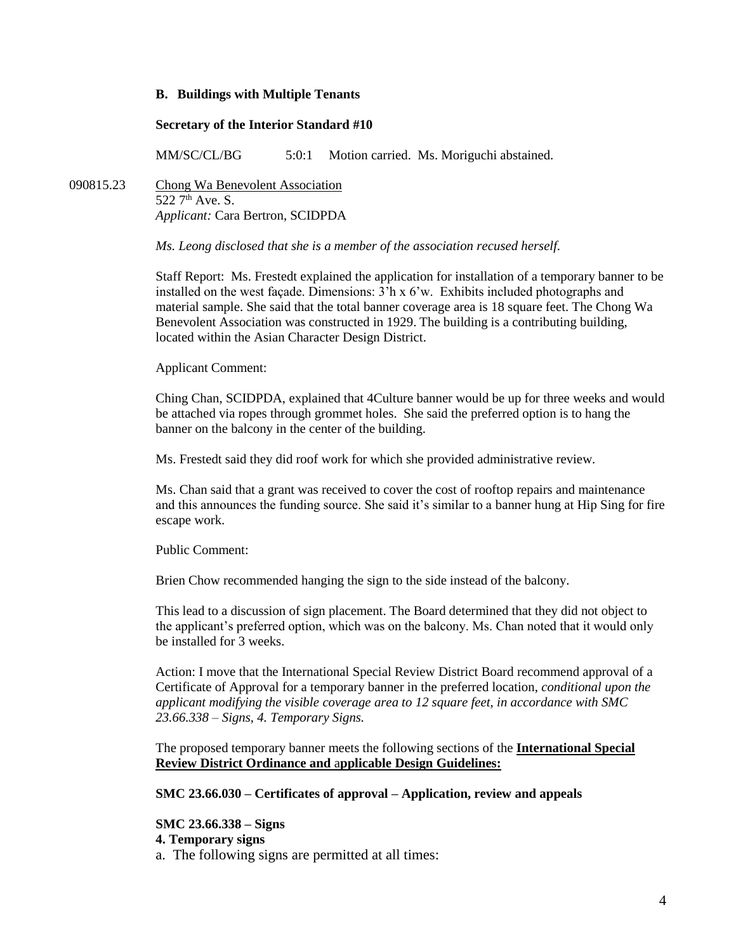#### **B. Buildings with Multiple Tenants**

#### **Secretary of the Interior Standard #10**

MM/SC/CL/BG 5:0:1 Motion carried. Ms. Moriguchi abstained.

090815.23 Chong Wa Benevolent Association  $522 \, 7<sup>th</sup>$  Ave. S. *Applicant:* Cara Bertron, SCIDPDA

*Ms. Leong disclosed that she is a member of the association recused herself.*

Staff Report: Ms. Frestedt explained the application for installation of a temporary banner to be installed on the west facade. Dimensions:  $3<sup>2</sup>h \times 6<sup>2</sup>w$ . Exhibits included photographs and material sample. She said that the total banner coverage area is 18 square feet. The Chong Wa Benevolent Association was constructed in 1929. The building is a contributing building, located within the Asian Character Design District.

Applicant Comment:

Ching Chan, SCIDPDA, explained that 4Culture banner would be up for three weeks and would be attached via ropes through grommet holes. She said the preferred option is to hang the banner on the balcony in the center of the building.

Ms. Frestedt said they did roof work for which she provided administrative review.

Ms. Chan said that a grant was received to cover the cost of rooftop repairs and maintenance and this announces the funding source. She said it's similar to a banner hung at Hip Sing for fire escape work.

Public Comment:

Brien Chow recommended hanging the sign to the side instead of the balcony.

This lead to a discussion of sign placement. The Board determined that they did not object to the applicant's preferred option, which was on the balcony. Ms. Chan noted that it would only be installed for 3 weeks.

Action: I move that the International Special Review District Board recommend approval of a Certificate of Approval for a temporary banner in the preferred location, *conditional upon the applicant modifying the visible coverage area to 12 square feet, in accordance with SMC 23.66.338 – Signs, 4. Temporary Signs.* 

The proposed temporary banner meets the following sections of the **International Special Review District Ordinance and** a**pplicable Design Guidelines:**

## **SMC 23.66.030 – Certificates of approval – Application, review and appeals**

**SMC 23.66.338 – Signs**

**4. Temporary signs**

a. The following signs are permitted at all times: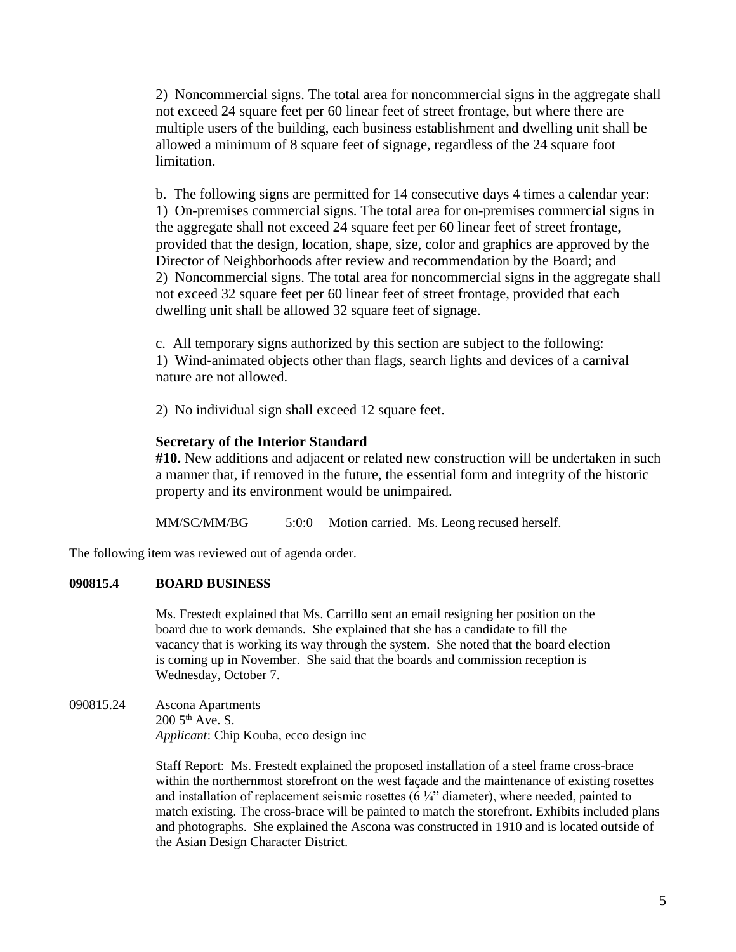2) Noncommercial signs. The total area for noncommercial signs in the aggregate shall not exceed 24 square feet per 60 linear feet of street frontage, but where there are multiple users of the building, each business establishment and dwelling unit shall be allowed a minimum of 8 square feet of signage, regardless of the 24 square foot limitation.

b. The following signs are permitted for 14 consecutive days 4 times a calendar year: 1) On-premises commercial signs. The total area for on-premises commercial signs in the aggregate shall not exceed 24 square feet per 60 linear feet of street frontage, provided that the design, location, shape, size, color and graphics are approved by the Director of Neighborhoods after review and recommendation by the Board; and 2) Noncommercial signs. The total area for noncommercial signs in the aggregate shall not exceed 32 square feet per 60 linear feet of street frontage, provided that each dwelling unit shall be allowed 32 square feet of signage.

c. All temporary signs authorized by this section are subject to the following: 1) Wind-animated objects other than flags, search lights and devices of a carnival nature are not allowed.

2) No individual sign shall exceed 12 square feet.

## **Secretary of the Interior Standard**

**#10.** New additions and adjacent or related new construction will be undertaken in such a manner that, if removed in the future, the essential form and integrity of the historic property and its environment would be unimpaired.

MM/SC/MM/BG 5:0:0 Motion carried. Ms. Leong recused herself.

The following item was reviewed out of agenda order.

## **090815.4 BOARD BUSINESS**

Ms. Frestedt explained that Ms. Carrillo sent an email resigning her position on the board due to work demands. She explained that she has a candidate to fill the vacancy that is working its way through the system. She noted that the board election is coming up in November. She said that the boards and commission reception is Wednesday, October 7.

090815.24 Ascona Apartments

 $200\,5^{th}$  Ave. S. *Applicant*: Chip Kouba, ecco design inc

Staff Report: Ms. Frestedt explained the proposed installation of a steel frame cross-brace within the northernmost storefront on the west façade and the maintenance of existing rosettes and installation of replacement seismic rosettes  $(6 \frac{1}{4})$  diameter), where needed, painted to match existing. The cross-brace will be painted to match the storefront. Exhibits included plans and photographs. She explained the Ascona was constructed in 1910 and is located outside of the Asian Design Character District.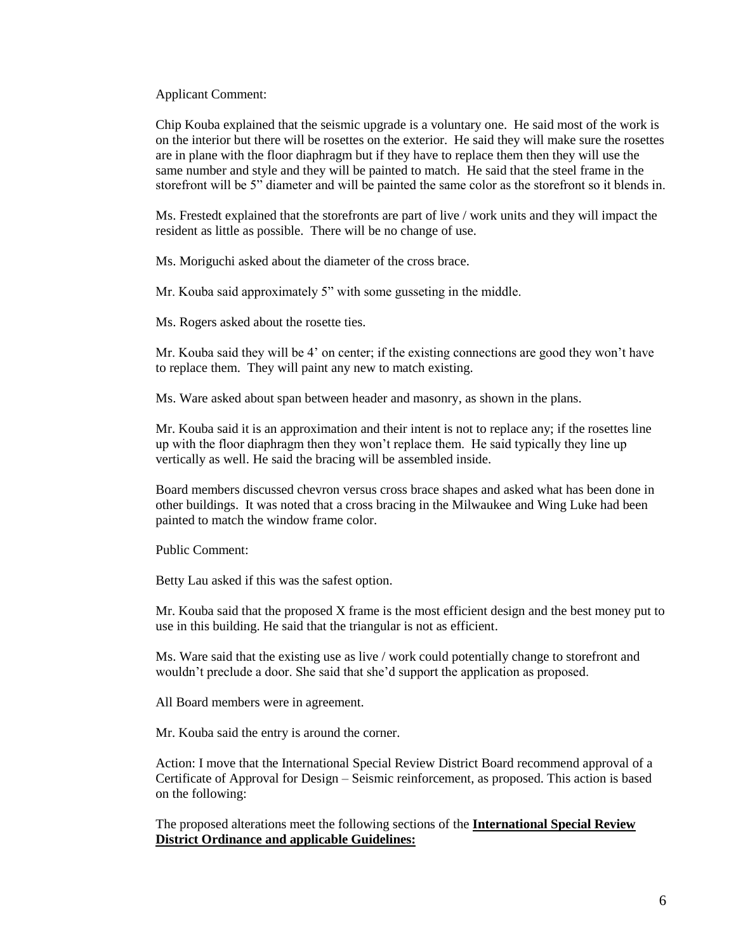Applicant Comment:

Chip Kouba explained that the seismic upgrade is a voluntary one. He said most of the work is on the interior but there will be rosettes on the exterior. He said they will make sure the rosettes are in plane with the floor diaphragm but if they have to replace them then they will use the same number and style and they will be painted to match. He said that the steel frame in the storefront will be 5" diameter and will be painted the same color as the storefront so it blends in.

Ms. Frestedt explained that the storefronts are part of live / work units and they will impact the resident as little as possible. There will be no change of use.

Ms. Moriguchi asked about the diameter of the cross brace.

Mr. Kouba said approximately 5" with some gusseting in the middle.

Ms. Rogers asked about the rosette ties.

Mr. Kouba said they will be 4' on center; if the existing connections are good they won't have to replace them. They will paint any new to match existing.

Ms. Ware asked about span between header and masonry, as shown in the plans.

Mr. Kouba said it is an approximation and their intent is not to replace any; if the rosettes line up with the floor diaphragm then they won't replace them. He said typically they line up vertically as well. He said the bracing will be assembled inside.

Board members discussed chevron versus cross brace shapes and asked what has been done in other buildings. It was noted that a cross bracing in the Milwaukee and Wing Luke had been painted to match the window frame color.

Public Comment:

Betty Lau asked if this was the safest option.

Mr. Kouba said that the proposed X frame is the most efficient design and the best money put to use in this building. He said that the triangular is not as efficient.

Ms. Ware said that the existing use as live / work could potentially change to storefront and wouldn't preclude a door. She said that she'd support the application as proposed.

All Board members were in agreement.

Mr. Kouba said the entry is around the corner.

Action: I move that the International Special Review District Board recommend approval of a Certificate of Approval for Design – Seismic reinforcement, as proposed. This action is based on the following:

The proposed alterations meet the following sections of the **International Special Review District Ordinance and applicable Guidelines:**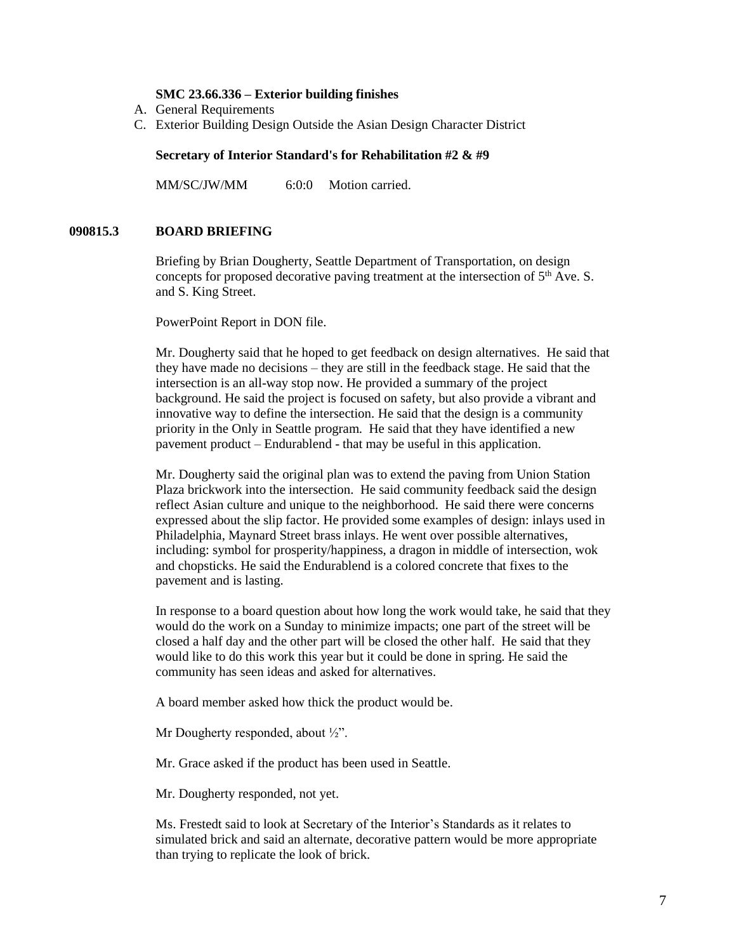#### **SMC 23.66.336 – Exterior building finishes**

- A. General Requirements
- C. Exterior Building Design Outside the Asian Design Character District

#### **Secretary of Interior Standard's for Rehabilitation #2 & #9**

MM/SC/JW/MM 6:0:0 Motion carried.

#### **090815.3 BOARD BRIEFING**

Briefing by Brian Dougherty, Seattle Department of Transportation, on design concepts for proposed decorative paving treatment at the intersection of  $5<sup>th</sup>$  Ave. S. and S. King Street.

PowerPoint Report in DON file.

Mr. Dougherty said that he hoped to get feedback on design alternatives. He said that they have made no decisions – they are still in the feedback stage. He said that the intersection is an all-way stop now. He provided a summary of the project background. He said the project is focused on safety, but also provide a vibrant and innovative way to define the intersection. He said that the design is a community priority in the Only in Seattle program. He said that they have identified a new pavement product – Endurablend - that may be useful in this application.

Mr. Dougherty said the original plan was to extend the paving from Union Station Plaza brickwork into the intersection. He said community feedback said the design reflect Asian culture and unique to the neighborhood. He said there were concerns expressed about the slip factor. He provided some examples of design: inlays used in Philadelphia, Maynard Street brass inlays. He went over possible alternatives, including: symbol for prosperity/happiness, a dragon in middle of intersection, wok and chopsticks. He said the Endurablend is a colored concrete that fixes to the pavement and is lasting.

In response to a board question about how long the work would take, he said that they would do the work on a Sunday to minimize impacts; one part of the street will be closed a half day and the other part will be closed the other half. He said that they would like to do this work this year but it could be done in spring. He said the community has seen ideas and asked for alternatives.

A board member asked how thick the product would be.

Mr Dougherty responded, about ½".

Mr. Grace asked if the product has been used in Seattle.

Mr. Dougherty responded, not yet.

Ms. Frestedt said to look at Secretary of the Interior's Standards as it relates to simulated brick and said an alternate, decorative pattern would be more appropriate than trying to replicate the look of brick.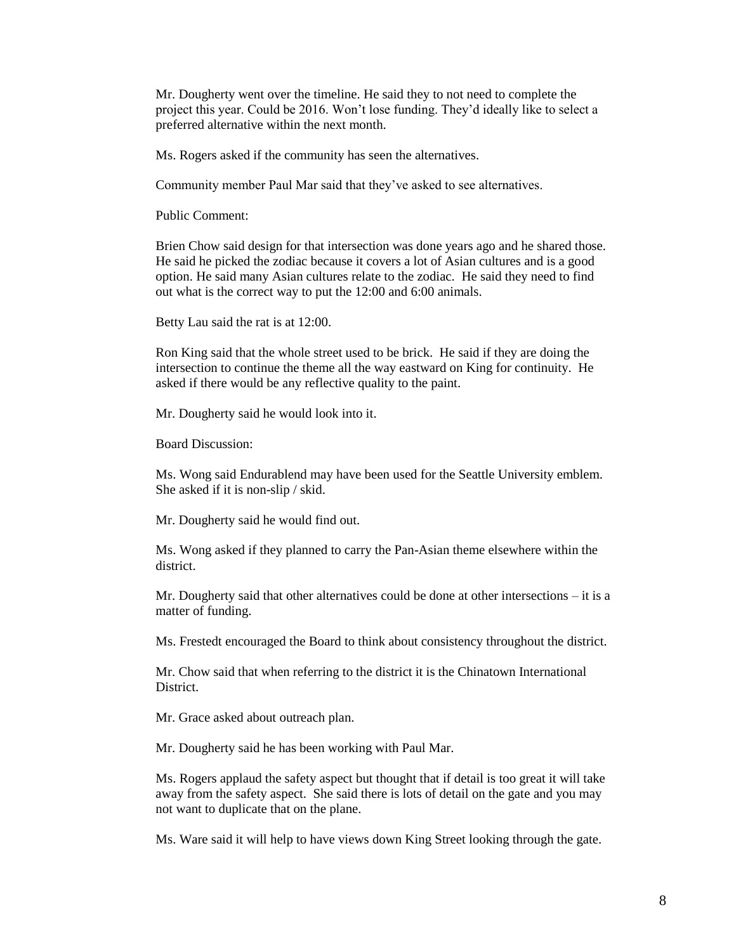Mr. Dougherty went over the timeline. He said they to not need to complete the project this year. Could be 2016. Won't lose funding. They'd ideally like to select a preferred alternative within the next month.

Ms. Rogers asked if the community has seen the alternatives.

Community member Paul Mar said that they've asked to see alternatives.

Public Comment:

Brien Chow said design for that intersection was done years ago and he shared those. He said he picked the zodiac because it covers a lot of Asian cultures and is a good option. He said many Asian cultures relate to the zodiac. He said they need to find out what is the correct way to put the 12:00 and 6:00 animals.

Betty Lau said the rat is at 12:00.

Ron King said that the whole street used to be brick. He said if they are doing the intersection to continue the theme all the way eastward on King for continuity. He asked if there would be any reflective quality to the paint.

Mr. Dougherty said he would look into it.

Board Discussion:

Ms. Wong said Endurablend may have been used for the Seattle University emblem. She asked if it is non-slip / skid.

Mr. Dougherty said he would find out.

Ms. Wong asked if they planned to carry the Pan-Asian theme elsewhere within the district.

Mr. Dougherty said that other alternatives could be done at other intersections – it is a matter of funding.

Ms. Frestedt encouraged the Board to think about consistency throughout the district.

Mr. Chow said that when referring to the district it is the Chinatown International District.

Mr. Grace asked about outreach plan.

Mr. Dougherty said he has been working with Paul Mar.

Ms. Rogers applaud the safety aspect but thought that if detail is too great it will take away from the safety aspect. She said there is lots of detail on the gate and you may not want to duplicate that on the plane.

Ms. Ware said it will help to have views down King Street looking through the gate.